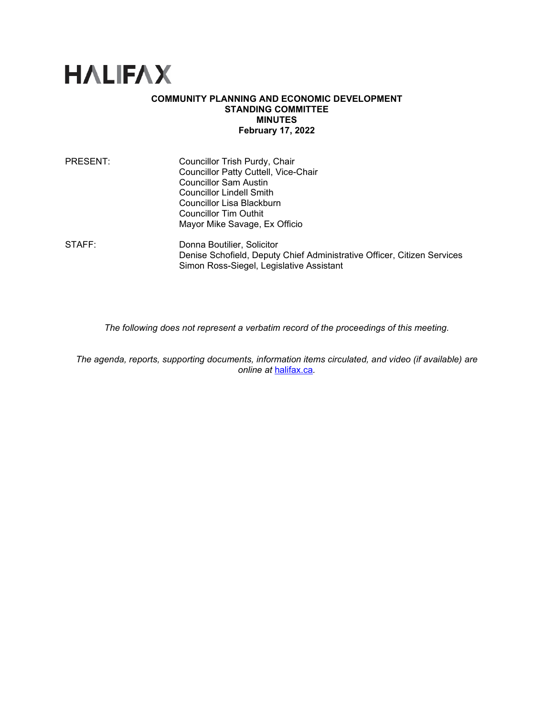

## **COMMUNITY PLANNING AND ECONOMIC DEVELOPMENT STANDING COMMITTEE MINUTES February 17, 2022**

| PRESENT: | Councillor Trish Purdy, Chair                                                                                       |
|----------|---------------------------------------------------------------------------------------------------------------------|
|          | <b>Councillor Patty Cuttell, Vice-Chair</b>                                                                         |
|          | <b>Councillor Sam Austin</b>                                                                                        |
|          | <b>Councillor Lindell Smith</b>                                                                                     |
|          | Councillor Lisa Blackburn                                                                                           |
|          | Councillor Tim Outhit                                                                                               |
|          | Mayor Mike Savage, Ex Officio                                                                                       |
| STAFF:   | Donna Boutilier, Solicitor                                                                                          |
|          | Denise Schofield, Deputy Chief Administrative Officer, Citizen Services<br>Simon Ross-Siegel, Legislative Assistant |
|          |                                                                                                                     |

*The following does not represent a verbatim record of the proceedings of this meeting.*

*The agenda, reports, supporting documents, information items circulated, and video (if available) are online at* [halifax.ca](http://www.halifax.ca/)*.*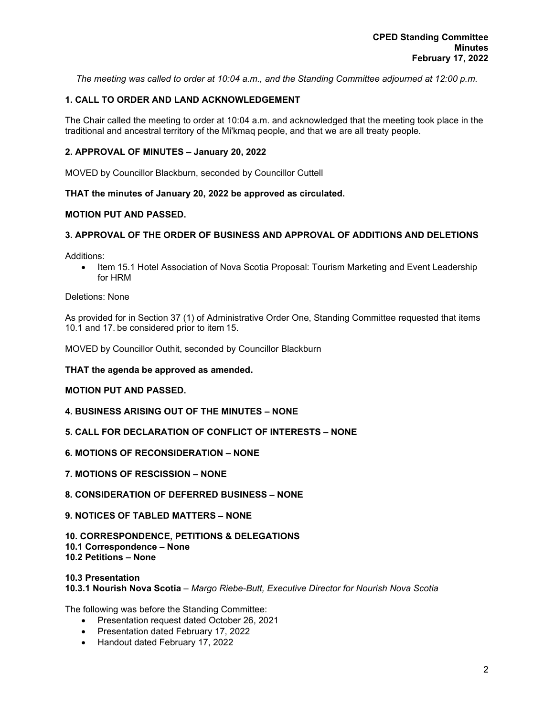*The meeting was called to order at 10:04 a.m., and the Standing Committee adjourned at 12:00 p.m.*

# **1. CALL TO ORDER AND LAND ACKNOWLEDGEMENT**

The Chair called the meeting to order at 10:04 a.m. and acknowledged that the meeting took place in the traditional and ancestral territory of the Mi'kmaq people, and that we are all treaty people.

## **2. APPROVAL OF MINUTES – January 20, 2022**

MOVED by Councillor Blackburn, seconded by Councillor Cuttell

## **THAT the minutes of January 20, 2022 be approved as circulated.**

## **MOTION PUT AND PASSED.**

## **3. APPROVAL OF THE ORDER OF BUSINESS AND APPROVAL OF ADDITIONS AND DELETIONS**

Additions:

• Item 15.1 Hotel Association of Nova Scotia Proposal: Tourism Marketing and Event Leadership for HRM

#### Deletions: None

As provided for in Section 37 (1) of Administrative Order One, Standing Committee requested that items 10.1 and 17. be considered prior to item 15.

MOVED by Councillor Outhit, seconded by Councillor Blackburn

## **THAT the agenda be approved as amended.**

## **MOTION PUT AND PASSED.**

- **4. BUSINESS ARISING OUT OF THE MINUTES – NONE**
- **5. CALL FOR DECLARATION OF CONFLICT OF INTERESTS – NONE**
- **6. MOTIONS OF RECONSIDERATION – NONE**
- **7. MOTIONS OF RESCISSION – NONE**
- **8. CONSIDERATION OF DEFERRED BUSINESS – NONE**
- **9. NOTICES OF TABLED MATTERS – NONE**

#### **10. CORRESPONDENCE, PETITIONS & DELEGATIONS 10.1 Correspondence – None 10.2 Petitions – None**

#### **10.3 Presentation 10.3.1 Nourish Nova Scotia** *– Margo Riebe-Butt, Executive Director for Nourish Nova Scotia*

The following was before the Standing Committee:

- Presentation request dated October 26, 2021
- Presentation dated February 17, 2022
- Handout dated February 17, 2022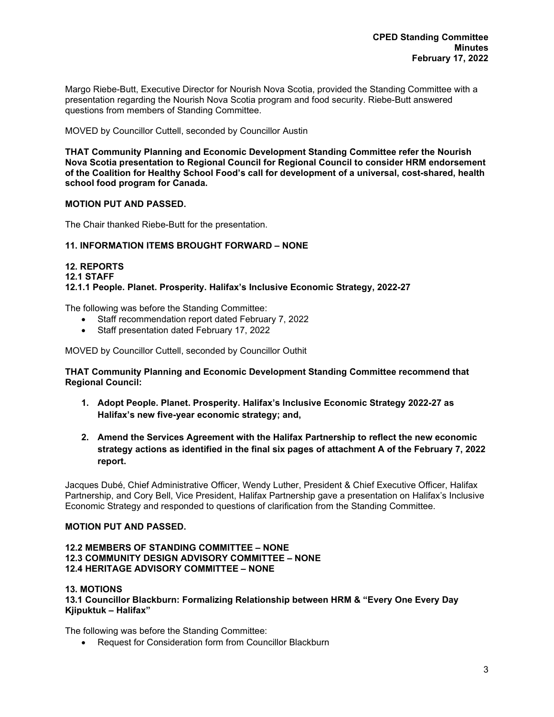Margo Riebe-Butt, Executive Director for Nourish Nova Scotia, provided the Standing Committee with a presentation regarding the Nourish Nova Scotia program and food security. Riebe-Butt answered questions from members of Standing Committee.

MOVED by Councillor Cuttell, seconded by Councillor Austin

**THAT Community Planning and Economic Development Standing Committee refer the Nourish Nova Scotia presentation to Regional Council for Regional Council to consider HRM endorsement of the Coalition for Healthy School Food's call for development of a universal, cost-shared, health school food program for Canada.**

## **MOTION PUT AND PASSED.**

The Chair thanked Riebe-Butt for the presentation.

## **11. INFORMATION ITEMS BROUGHT FORWARD – NONE**

## **12. REPORTS 12.1 STAFF 12.1.1 People. Planet. Prosperity. Halifax's Inclusive Economic Strategy, 2022-27**

The following was before the Standing Committee:

- Staff recommendation report dated February 7, 2022
- Staff presentation dated February 17, 2022

MOVED by Councillor Cuttell, seconded by Councillor Outhit

**THAT Community Planning and Economic Development Standing Committee recommend that Regional Council:**

- **1. Adopt People. Planet. Prosperity. Halifax's Inclusive Economic Strategy 2022-27 as Halifax's new five-year economic strategy; and,**
- **2. Amend the Services Agreement with the Halifax Partnership to reflect the new economic strategy actions as identified in the final six pages of attachment A of the February 7, 2022 report.**

Jacques Dubé, Chief Administrative Officer, Wendy Luther, President & Chief Executive Officer, Halifax Partnership, and Cory Bell, Vice President, Halifax Partnership gave a presentation on Halifax's Inclusive Economic Strategy and responded to questions of clarification from the Standing Committee.

### **MOTION PUT AND PASSED.**

## **12.2 MEMBERS OF STANDING COMMITTEE – NONE 12.3 COMMUNITY DESIGN ADVISORY COMMITTEE – NONE 12.4 HERITAGE ADVISORY COMMITTEE – NONE**

### **13. MOTIONS**

**13.1 Councillor Blackburn: Formalizing Relationship between HRM & "Every One Every Day Kjipuktuk – Halifax"**

The following was before the Standing Committee:

• Request for Consideration form from Councillor Blackburn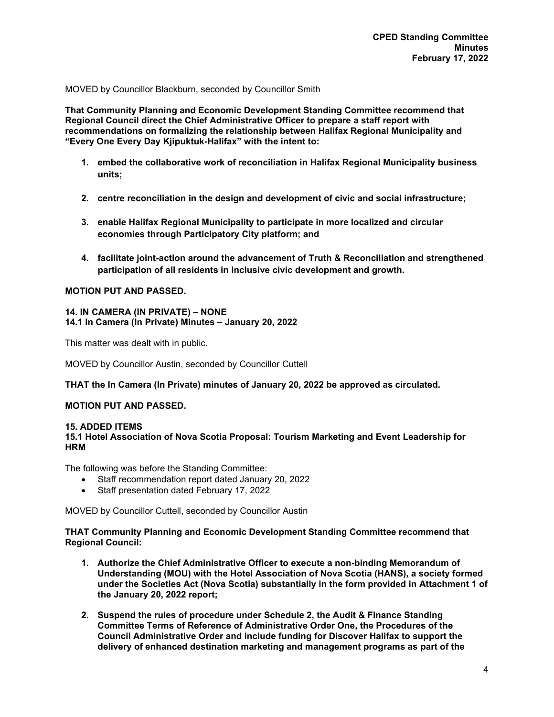MOVED by Councillor Blackburn, seconded by Councillor Smith

**That Community Planning and Economic Development Standing Committee recommend that Regional Council direct the Chief Administrative Officer to prepare a staff report with recommendations on formalizing the relationship between Halifax Regional Municipality and "Every One Every Day Kjipuktuk-Halifax" with the intent to:** 

- **1. embed the collaborative work of reconciliation in Halifax Regional Municipality business units;**
- **2. centre reconciliation in the design and development of civic and social infrastructure;**
- **3. enable Halifax Regional Municipality to participate in more localized and circular economies through Participatory City platform; and**
- **4. facilitate joint-action around the advancement of Truth & Reconciliation and strengthened participation of all residents in inclusive civic development and growth.**

## **MOTION PUT AND PASSED.**

# **14. IN CAMERA (IN PRIVATE) – NONE**

**14.1 In Camera (In Private) Minutes – January 20, 2022**

This matter was dealt with in public.

MOVED by Councillor Austin, seconded by Councillor Cuttell

### **THAT the In Camera (In Private) minutes of January 20, 2022 be approved as circulated.**

## **MOTION PUT AND PASSED.**

#### **15. ADDED ITEMS 15.1 Hotel Association of Nova Scotia Proposal: Tourism Marketing and Event Leadership for HRM**

The following was before the Standing Committee:

- Staff recommendation report dated January 20, 2022
- Staff presentation dated February 17, 2022

MOVED by Councillor Cuttell, seconded by Councillor Austin

**THAT Community Planning and Economic Development Standing Committee recommend that Regional Council:**

- **1. Authorize the Chief Administrative Officer to execute a non-binding Memorandum of Understanding (MOU) with the Hotel Association of Nova Scotia (HANS), a society formed under the Societies Act (Nova Scotia) substantially in the form provided in Attachment 1 of the January 20, 2022 report;**
- **2. Suspend the rules of procedure under Schedule 2, the Audit & Finance Standing Committee Terms of Reference of Administrative Order One, the Procedures of the Council Administrative Order and include funding for Discover Halifax to support the delivery of enhanced destination marketing and management programs as part of the**